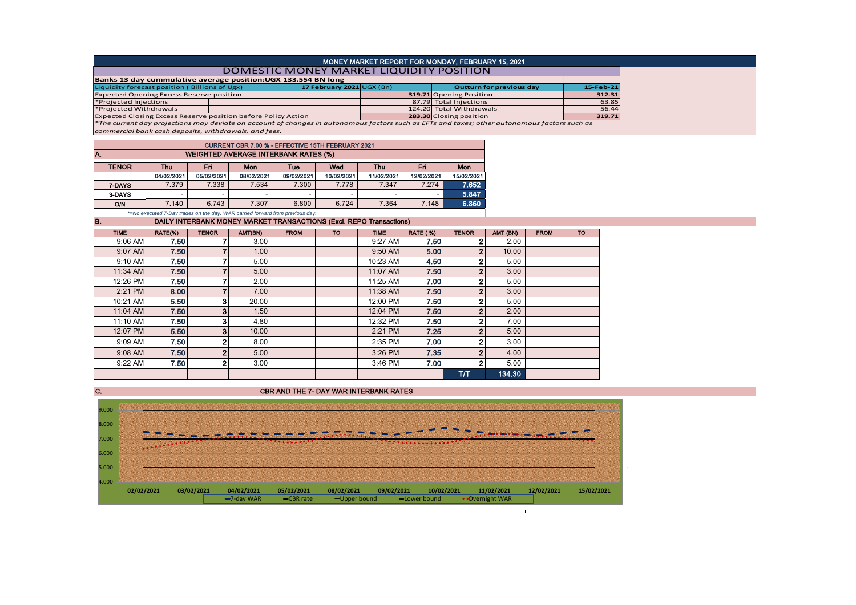|                                                                                                                                              |            |                |                          |                                                                               |                           | MONEY MARKET REPORT FOR MONDAY, FEBRUARY 15, 2021 |                 |                           |                                 |             |            |
|----------------------------------------------------------------------------------------------------------------------------------------------|------------|----------------|--------------------------|-------------------------------------------------------------------------------|---------------------------|---------------------------------------------------|-----------------|---------------------------|---------------------------------|-------------|------------|
|                                                                                                                                              |            |                |                          | <b>DOMESTIC MONEY MARKET LIQUIDITY POSITION</b>                               |                           |                                                   |                 |                           |                                 |             |            |
| Banks 13 day cummulative average position: UGX 133.554 BN long                                                                               |            |                |                          |                                                                               |                           |                                                   |                 |                           |                                 |             |            |
| Liquidity forecast position (Billions of Ugx)                                                                                                |            |                |                          |                                                                               | 17 February 2021 UGX (Bn) |                                                   |                 |                           | <b>Outturn for previous day</b> |             | 15-Feb-21  |
| <b>Expected Opening Excess Reserve position</b>                                                                                              |            |                |                          |                                                                               |                           |                                                   |                 | 319.71 Opening Position   |                                 |             | 312.31     |
| *Projected Injections                                                                                                                        |            |                |                          |                                                                               |                           |                                                   |                 | 87.79 Total Injections    |                                 |             | 63.85      |
| *Projected Withdrawals<br>Expected Closing Excess Reserve position before Policy Action                                                      |            |                |                          |                                                                               |                           |                                                   |                 | -124.20 Total Withdrawals |                                 |             | $-56.44$   |
| The current day projections may deviate on account of changes in autonomous factors such as EFTs and taxes; other autonomous factors such as |            |                |                          |                                                                               |                           |                                                   |                 | 283.30 Closing position   |                                 |             | 319.71     |
| commercial bank cash deposits, withdrawals, and fees.                                                                                        |            |                |                          |                                                                               |                           |                                                   |                 |                           |                                 |             |            |
|                                                                                                                                              |            |                |                          |                                                                               |                           |                                                   |                 |                           |                                 |             |            |
|                                                                                                                                              |            |                |                          | CURRENT CBR 7.00 % - EFFECTIVE 15TH FEBRUARY 2021                             |                           |                                                   |                 |                           |                                 |             |            |
|                                                                                                                                              |            |                |                          | <b>WEIGHTED AVERAGE INTERBANK RATES (%)</b>                                   |                           |                                                   |                 |                           |                                 |             |            |
| <b>TENOR</b>                                                                                                                                 | Thu        | Fri            | Mon                      | Tue                                                                           | Wed                       | <b>Thu</b>                                        | Fri             | <b>Mon</b>                |                                 |             |            |
|                                                                                                                                              | 04/02/2021 | 05/02/2021     | 08/02/2021               | 09/02/2021                                                                    | 10/02/2021                | 11/02/2021                                        | 12/02/2021      | 15/02/2021                |                                 |             |            |
| 7-DAYS                                                                                                                                       | 7.379      | 7.338          | 7.534                    | 7.300                                                                         | 7.778                     | 7.347                                             | 7.274           | 7.652                     |                                 |             |            |
| 3-DAYS                                                                                                                                       |            |                | $\overline{\phantom{a}}$ |                                                                               |                           |                                                   |                 | 5.847                     |                                 |             |            |
| <b>O/N</b>                                                                                                                                   | 7.140      | 6.743          | 7.307                    | 6.800                                                                         | 6.724                     | 7.364                                             | 7.148           | 6.860                     |                                 |             |            |
|                                                                                                                                              |            |                |                          | *=No executed 7-Day trades on the day. WAR carried forward from previous day. |                           |                                                   |                 |                           |                                 |             |            |
| B.                                                                                                                                           |            |                |                          | DAILY INTERBANK MONEY MARKET TRANSACTIONS (Excl. REPO Transactions)           |                           |                                                   |                 |                           |                                 |             |            |
| <b>TIME</b>                                                                                                                                  | RATE(%)    | <b>TENOR</b>   | AMT(BN)                  | <b>FROM</b>                                                                   | <b>TO</b>                 | <b>TIME</b>                                       | <b>RATE (%)</b> | <b>TENOR</b>              | AMT (BN)                        | <b>FROM</b> | <b>TO</b>  |
| 9:06 AM                                                                                                                                      | 7.50       | 7              | 3.00                     |                                                                               |                           | 9:27 AM                                           | 7.50            | $\mathbf{2}$              | 2.00                            |             |            |
| 9:07 AM                                                                                                                                      | 7.50       | $\overline{7}$ | 1.00                     |                                                                               |                           | 9:50 AM                                           | 5.00            | $\mathbf{2}$              | 10.00                           |             |            |
|                                                                                                                                              |            |                |                          |                                                                               |                           |                                                   |                 |                           |                                 |             |            |
| 9:10 AM                                                                                                                                      | 7.50       | $\overline{7}$ | 5.00                     |                                                                               |                           | 10:23 AM                                          | 4.50            | $\mathbf{2}$              | 5.00                            |             |            |
| 11:34 AM                                                                                                                                     | 7.50       | $\overline{7}$ | 5.00                     |                                                                               |                           | 11:07 AM                                          | 7.50            | $\mathbf{2}$              | 3.00                            |             |            |
| 12:26 PM                                                                                                                                     | 7.50       | $\overline{7}$ | 2.00                     |                                                                               |                           | 11:25 AM                                          | 7.00            | $\mathbf{2}$              | 5.00                            |             |            |
| 2:21 PM                                                                                                                                      | 8.00       | $\overline{7}$ | 7.00                     |                                                                               |                           | 11:38 AM                                          | 7.50            | $\overline{2}$            | 3.00                            |             |            |
| 10:21 AM                                                                                                                                     | 5.50       | 3 <sup>1</sup> | 20.00                    |                                                                               |                           | 12:00 PM                                          | 7.50            | $\overline{2}$            | 5.00                            |             |            |
| 11:04 AM                                                                                                                                     | 7.50       | 3 <sup>1</sup> | 1.50                     |                                                                               |                           | 12:04 PM                                          | 7.50            | $\overline{2}$            | 2.00                            |             |            |
| 11:10 AM                                                                                                                                     | 7.50       | 3 <sup>1</sup> | 4.80                     |                                                                               |                           | 12:32 PM                                          | 7.50            | $\overline{2}$            | 7.00                            |             |            |
| 12:07 PM                                                                                                                                     | 5.50       | 3 <sup>1</sup> | 10.00                    |                                                                               |                           | 2:21 PM                                           | 7.25            | $\overline{2}$            | 5.00                            |             |            |
| 9:09 AM                                                                                                                                      | 7.50       | $\mathbf{2}$   | 8.00                     |                                                                               |                           | 2:35 PM                                           | 7.00            | $\mathbf{2}$              | 3.00                            |             |            |
| 9:08 AM                                                                                                                                      | 7.50       | 2 <sub>1</sub> | 5.00                     |                                                                               |                           | 3:26 PM                                           | 7.35            | $\overline{2}$            | 4.00                            |             |            |
|                                                                                                                                              |            |                |                          |                                                                               |                           |                                                   |                 |                           |                                 |             |            |
| 9:22 AM                                                                                                                                      | 7.50       | $\mathbf{2}$   | 3.00                     |                                                                               |                           | 3:46 PM                                           | 7.00            | $\mathbf{2}$              | 5.00                            |             |            |
|                                                                                                                                              |            |                |                          |                                                                               |                           |                                                   |                 | T/T                       | 134.30                          |             |            |
|                                                                                                                                              |            |                |                          |                                                                               |                           |                                                   |                 |                           |                                 |             |            |
| C.                                                                                                                                           |            |                |                          | <b>CBR AND THE 7- DAY WAR INTERBANK RATES</b>                                 |                           |                                                   |                 |                           |                                 |             |            |
|                                                                                                                                              |            |                |                          |                                                                               |                           |                                                   |                 |                           |                                 |             |            |
| 9.000                                                                                                                                        |            |                |                          |                                                                               |                           |                                                   |                 |                           |                                 |             |            |
| 8.000                                                                                                                                        |            |                |                          |                                                                               |                           |                                                   |                 |                           |                                 |             |            |
|                                                                                                                                              |            |                |                          |                                                                               |                           |                                                   |                 |                           |                                 |             |            |
| 7.000                                                                                                                                        |            |                |                          |                                                                               |                           |                                                   |                 |                           |                                 |             |            |
| 6.000                                                                                                                                        |            |                |                          |                                                                               |                           |                                                   |                 |                           |                                 |             |            |
|                                                                                                                                              |            |                |                          |                                                                               |                           |                                                   |                 |                           |                                 |             |            |
| 5.000                                                                                                                                        |            |                |                          |                                                                               |                           |                                                   |                 |                           |                                 |             |            |
|                                                                                                                                              |            |                |                          |                                                                               |                           |                                                   |                 |                           |                                 |             |            |
| 4.000<br>02/02/2021                                                                                                                          |            | 03/02/2021     | 04/02/2021               |                                                                               | 08/02/2021                | 09/02/2021                                        | 10/02/2021      |                           | 11/02/2021                      | 12/02/2021  | 15/02/2021 |
|                                                                                                                                              |            |                | -7-day WAR               | 05/02/2021<br>-CBR rate                                                       | -Upper bound              |                                                   | -Lower bound    |                           | • Overnight WAR                 |             |            |
|                                                                                                                                              |            |                |                          |                                                                               |                           |                                                   |                 |                           |                                 |             |            |

 $\vdash$